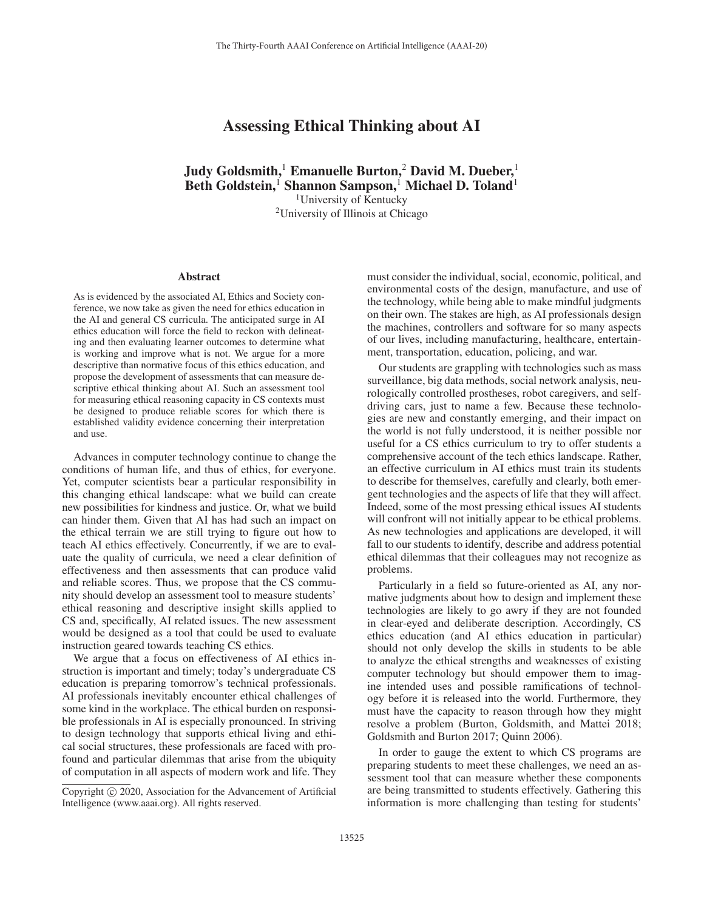# Assessing Ethical Thinking about AI

Judy Goldsmith,<sup>1</sup> Emanuelle Burton,<sup>2</sup> David M. Dueber,<sup>1</sup> Beth Goldstein,<sup>1</sup> Shannon Sampson,<sup>1</sup> Michael D. Toland<sup>1</sup> <sup>1</sup>University of Kentucky 2University of Illinois at Chicago

#### Abstract

As is evidenced by the associated AI, Ethics and Society conference, we now take as given the need for ethics education in the AI and general CS curricula. The anticipated surge in AI ethics education will force the field to reckon with delineating and then evaluating learner outcomes to determine what is working and improve what is not. We argue for a more descriptive than normative focus of this ethics education, and propose the development of assessments that can measure descriptive ethical thinking about AI. Such an assessment tool for measuring ethical reasoning capacity in CS contexts must be designed to produce reliable scores for which there is established validity evidence concerning their interpretation and use.

Advances in computer technology continue to change the conditions of human life, and thus of ethics, for everyone. Yet, computer scientists bear a particular responsibility in this changing ethical landscape: what we build can create new possibilities for kindness and justice. Or, what we build can hinder them. Given that AI has had such an impact on the ethical terrain we are still trying to figure out how to teach AI ethics effectively. Concurrently, if we are to evaluate the quality of curricula, we need a clear definition of effectiveness and then assessments that can produce valid and reliable scores. Thus, we propose that the CS community should develop an assessment tool to measure students' ethical reasoning and descriptive insight skills applied to CS and, specifically, AI related issues. The new assessment would be designed as a tool that could be used to evaluate instruction geared towards teaching CS ethics.

We argue that a focus on effectiveness of AI ethics instruction is important and timely; today's undergraduate CS education is preparing tomorrow's technical professionals. AI professionals inevitably encounter ethical challenges of some kind in the workplace. The ethical burden on responsible professionals in AI is especially pronounced. In striving to design technology that supports ethical living and ethical social structures, these professionals are faced with profound and particular dilemmas that arise from the ubiquity of computation in all aspects of modern work and life. They

must consider the individual, social, economic, political, and environmental costs of the design, manufacture, and use of the technology, while being able to make mindful judgments on their own. The stakes are high, as AI professionals design the machines, controllers and software for so many aspects of our lives, including manufacturing, healthcare, entertainment, transportation, education, policing, and war.

Our students are grappling with technologies such as mass surveillance, big data methods, social network analysis, neurologically controlled prostheses, robot caregivers, and selfdriving cars, just to name a few. Because these technologies are new and constantly emerging, and their impact on the world is not fully understood, it is neither possible nor useful for a CS ethics curriculum to try to offer students a comprehensive account of the tech ethics landscape. Rather, an effective curriculum in AI ethics must train its students to describe for themselves, carefully and clearly, both emergent technologies and the aspects of life that they will affect. Indeed, some of the most pressing ethical issues AI students will confront will not initially appear to be ethical problems. As new technologies and applications are developed, it will fall to our students to identify, describe and address potential ethical dilemmas that their colleagues may not recognize as problems.

Particularly in a field so future-oriented as AI, any normative judgments about how to design and implement these technologies are likely to go awry if they are not founded in clear-eyed and deliberate description. Accordingly, CS ethics education (and AI ethics education in particular) should not only develop the skills in students to be able to analyze the ethical strengths and weaknesses of existing computer technology but should empower them to imagine intended uses and possible ramifications of technology before it is released into the world. Furthermore, they must have the capacity to reason through how they might resolve a problem (Burton, Goldsmith, and Mattei 2018; Goldsmith and Burton 2017; Quinn 2006).

In order to gauge the extent to which CS programs are preparing students to meet these challenges, we need an assessment tool that can measure whether these components are being transmitted to students effectively. Gathering this information is more challenging than testing for students'

Copyright  $\odot$  2020, Association for the Advancement of Artificial Intelligence (www.aaai.org). All rights reserved.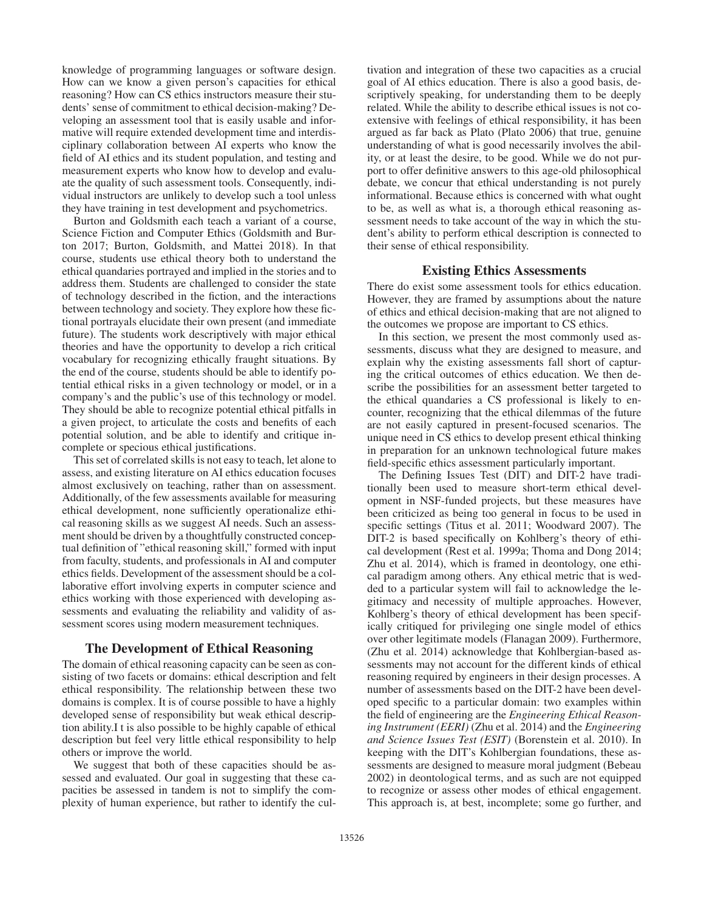knowledge of programming languages or software design. How can we know a given person's capacities for ethical reasoning? How can CS ethics instructors measure their students' sense of commitment to ethical decision-making? Developing an assessment tool that is easily usable and informative will require extended development time and interdisciplinary collaboration between AI experts who know the field of AI ethics and its student population, and testing and measurement experts who know how to develop and evaluate the quality of such assessment tools. Consequently, individual instructors are unlikely to develop such a tool unless they have training in test development and psychometrics.

Burton and Goldsmith each teach a variant of a course, Science Fiction and Computer Ethics (Goldsmith and Burton 2017; Burton, Goldsmith, and Mattei 2018). In that course, students use ethical theory both to understand the ethical quandaries portrayed and implied in the stories and to address them. Students are challenged to consider the state of technology described in the fiction, and the interactions between technology and society. They explore how these fictional portrayals elucidate their own present (and immediate future). The students work descriptively with major ethical theories and have the opportunity to develop a rich critical vocabulary for recognizing ethically fraught situations. By the end of the course, students should be able to identify potential ethical risks in a given technology or model, or in a company's and the public's use of this technology or model. They should be able to recognize potential ethical pitfalls in a given project, to articulate the costs and benefits of each potential solution, and be able to identify and critique incomplete or specious ethical justifications.

This set of correlated skills is not easy to teach, let alone to assess, and existing literature on AI ethics education focuses almost exclusively on teaching, rather than on assessment. Additionally, of the few assessments available for measuring ethical development, none sufficiently operationalize ethical reasoning skills as we suggest AI needs. Such an assessment should be driven by a thoughtfully constructed conceptual definition of "ethical reasoning skill," formed with input from faculty, students, and professionals in AI and computer ethics fields. Development of the assessment should be a collaborative effort involving experts in computer science and ethics working with those experienced with developing assessments and evaluating the reliability and validity of assessment scores using modern measurement techniques.

## The Development of Ethical Reasoning

The domain of ethical reasoning capacity can be seen as consisting of two facets or domains: ethical description and felt ethical responsibility. The relationship between these two domains is complex. It is of course possible to have a highly developed sense of responsibility but weak ethical description ability.I t is also possible to be highly capable of ethical description but feel very little ethical responsibility to help others or improve the world.

We suggest that both of these capacities should be assessed and evaluated. Our goal in suggesting that these capacities be assessed in tandem is not to simplify the complexity of human experience, but rather to identify the cul-

tivation and integration of these two capacities as a crucial goal of AI ethics education. There is also a good basis, descriptively speaking, for understanding them to be deeply related. While the ability to describe ethical issues is not coextensive with feelings of ethical responsibility, it has been argued as far back as Plato (Plato 2006) that true, genuine understanding of what is good necessarily involves the ability, or at least the desire, to be good. While we do not purport to offer definitive answers to this age-old philosophical debate, we concur that ethical understanding is not purely informational. Because ethics is concerned with what ought to be, as well as what is, a thorough ethical reasoning assessment needs to take account of the way in which the student's ability to perform ethical description is connected to their sense of ethical responsibility.

#### Existing Ethics Assessments

There do exist some assessment tools for ethics education. However, they are framed by assumptions about the nature of ethics and ethical decision-making that are not aligned to the outcomes we propose are important to CS ethics.

In this section, we present the most commonly used assessments, discuss what they are designed to measure, and explain why the existing assessments fall short of capturing the critical outcomes of ethics education. We then describe the possibilities for an assessment better targeted to the ethical quandaries a CS professional is likely to encounter, recognizing that the ethical dilemmas of the future are not easily captured in present-focused scenarios. The unique need in CS ethics to develop present ethical thinking in preparation for an unknown technological future makes field-specific ethics assessment particularly important.

The Defining Issues Test (DIT) and DIT-2 have traditionally been used to measure short-term ethical development in NSF-funded projects, but these measures have been criticized as being too general in focus to be used in specific settings (Titus et al. 2011; Woodward 2007). The DIT-2 is based specifically on Kohlberg's theory of ethical development (Rest et al. 1999a; Thoma and Dong 2014; Zhu et al. 2014), which is framed in deontology, one ethical paradigm among others. Any ethical metric that is wedded to a particular system will fail to acknowledge the legitimacy and necessity of multiple approaches. However, Kohlberg's theory of ethical development has been specifically critiqued for privileging one single model of ethics over other legitimate models (Flanagan 2009). Furthermore, (Zhu et al. 2014) acknowledge that Kohlbergian-based assessments may not account for the different kinds of ethical reasoning required by engineers in their design processes. A number of assessments based on the DIT-2 have been developed specific to a particular domain: two examples within the field of engineering are the *Engineering Ethical Reasoning Instrument (EERI)* (Zhu et al. 2014) and the *Engineering and Science Issues Test (ESIT)* (Borenstein et al. 2010). In keeping with the DIT's Kohlbergian foundations, these assessments are designed to measure moral judgment (Bebeau 2002) in deontological terms, and as such are not equipped to recognize or assess other modes of ethical engagement. This approach is, at best, incomplete; some go further, and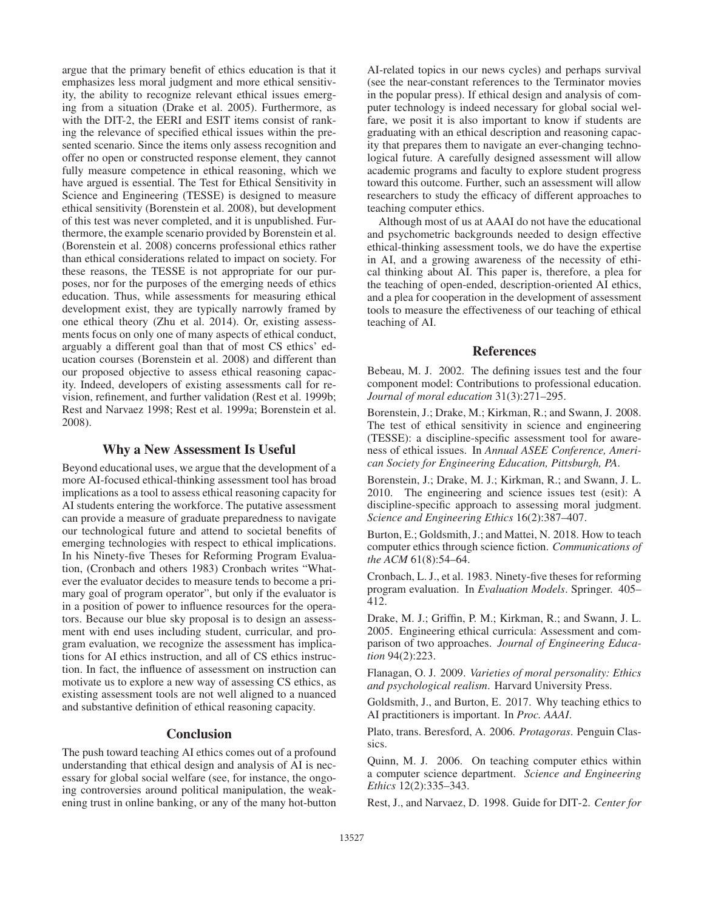argue that the primary benefit of ethics education is that it emphasizes less moral judgment and more ethical sensitivity, the ability to recognize relevant ethical issues emerging from a situation (Drake et al. 2005). Furthermore, as with the DIT-2, the EERI and ESIT items consist of ranking the relevance of specified ethical issues within the presented scenario. Since the items only assess recognition and offer no open or constructed response element, they cannot fully measure competence in ethical reasoning, which we have argued is essential. The Test for Ethical Sensitivity in Science and Engineering (TESSE) is designed to measure ethical sensitivity (Borenstein et al. 2008), but development of this test was never completed, and it is unpublished. Furthermore, the example scenario provided by Borenstein et al. (Borenstein et al. 2008) concerns professional ethics rather than ethical considerations related to impact on society. For these reasons, the TESSE is not appropriate for our purposes, nor for the purposes of the emerging needs of ethics education. Thus, while assessments for measuring ethical development exist, they are typically narrowly framed by one ethical theory (Zhu et al. 2014). Or, existing assessments focus on only one of many aspects of ethical conduct, arguably a different goal than that of most CS ethics' education courses (Borenstein et al. 2008) and different than our proposed objective to assess ethical reasoning capacity. Indeed, developers of existing assessments call for revision, refinement, and further validation (Rest et al. 1999b; Rest and Narvaez 1998; Rest et al. 1999a; Borenstein et al. 2008).

## Why a New Assessment Is Useful

Beyond educational uses, we argue that the development of a more AI-focused ethical-thinking assessment tool has broad implications as a tool to assess ethical reasoning capacity for AI students entering the workforce. The putative assessment can provide a measure of graduate preparedness to navigate our technological future and attend to societal benefits of emerging technologies with respect to ethical implications. In his Ninety-five Theses for Reforming Program Evaluation, (Cronbach and others 1983) Cronbach writes "Whatever the evaluator decides to measure tends to become a primary goal of program operator", but only if the evaluator is in a position of power to influence resources for the operators. Because our blue sky proposal is to design an assessment with end uses including student, curricular, and program evaluation, we recognize the assessment has implications for AI ethics instruction, and all of CS ethics instruction. In fact, the influence of assessment on instruction can motivate us to explore a new way of assessing CS ethics, as existing assessment tools are not well aligned to a nuanced and substantive definition of ethical reasoning capacity.

#### **Conclusion**

The push toward teaching AI ethics comes out of a profound understanding that ethical design and analysis of AI is necessary for global social welfare (see, for instance, the ongoing controversies around political manipulation, the weakening trust in online banking, or any of the many hot-button

AI-related topics in our news cycles) and perhaps survival (see the near-constant references to the Terminator movies in the popular press). If ethical design and analysis of computer technology is indeed necessary for global social welfare, we posit it is also important to know if students are graduating with an ethical description and reasoning capacity that prepares them to navigate an ever-changing technological future. A carefully designed assessment will allow academic programs and faculty to explore student progress toward this outcome. Further, such an assessment will allow researchers to study the efficacy of different approaches to teaching computer ethics.

Although most of us at AAAI do not have the educational and psychometric backgrounds needed to design effective ethical-thinking assessment tools, we do have the expertise in AI, and a growing awareness of the necessity of ethical thinking about AI. This paper is, therefore, a plea for the teaching of open-ended, description-oriented AI ethics, and a plea for cooperation in the development of assessment tools to measure the effectiveness of our teaching of ethical teaching of AI.

#### References

Bebeau, M. J. 2002. The defining issues test and the four component model: Contributions to professional education. *Journal of moral education* 31(3):271–295.

Borenstein, J.; Drake, M.; Kirkman, R.; and Swann, J. 2008. The test of ethical sensitivity in science and engineering (TESSE): a discipline-specific assessment tool for awareness of ethical issues. In *Annual ASEE Conference, American Society for Engineering Education, Pittsburgh, PA*.

Borenstein, J.; Drake, M. J.; Kirkman, R.; and Swann, J. L. 2010. The engineering and science issues test (esit): A discipline-specific approach to assessing moral judgment. *Science and Engineering Ethics* 16(2):387–407.

Burton, E.; Goldsmith, J.; and Mattei, N. 2018. How to teach computer ethics through science fiction. *Communications of the ACM* 61(8):54–64.

Cronbach, L. J., et al. 1983. Ninety-five theses for reforming program evaluation. In *Evaluation Models*. Springer. 405– 412.

Drake, M. J.; Griffin, P. M.; Kirkman, R.; and Swann, J. L. 2005. Engineering ethical curricula: Assessment and comparison of two approaches. *Journal of Engineering Education* 94(2):223.

Flanagan, O. J. 2009. *Varieties of moral personality: Ethics and psychological realism*. Harvard University Press.

Goldsmith, J., and Burton, E. 2017. Why teaching ethics to AI practitioners is important. In *Proc. AAAI*.

Plato, trans. Beresford, A. 2006. *Protagoras*. Penguin Classics.

Quinn, M. J. 2006. On teaching computer ethics within a computer science department. *Science and Engineering Ethics* 12(2):335–343.

Rest, J., and Narvaez, D. 1998. Guide for DIT-2. *Center for*